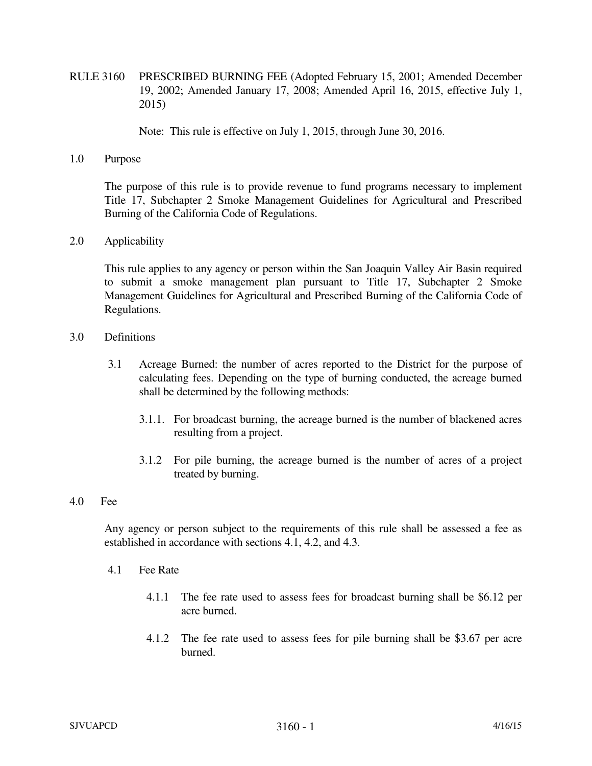RULE 3160 PRESCRIBED BURNING FEE (Adopted February 15, 2001; Amended December 19, 2002; Amended January 17, 2008; Amended April 16, 2015, effective July 1, 2015)

Note: This rule is effective on July 1, 2015, through June 30, 2016.

1.0 Purpose

The purpose of this rule is to provide revenue to fund programs necessary to implement Title 17, Subchapter 2 Smoke Management Guidelines for Agricultural and Prescribed Burning of the California Code of Regulations.

2.0 Applicability

 This rule applies to any agency or person within the San Joaquin Valley Air Basin required to submit a smoke management plan pursuant to Title 17, Subchapter 2 Smoke Management Guidelines for Agricultural and Prescribed Burning of the California Code of Regulations.

- 3.0 Definitions
	- 3.1 Acreage Burned: the number of acres reported to the District for the purpose of calculating fees. Depending on the type of burning conducted, the acreage burned shall be determined by the following methods:
		- 3.1.1. For broadcast burning, the acreage burned is the number of blackened acres resulting from a project.
		- 3.1.2 For pile burning, the acreage burned is the number of acres of a project treated by burning.
- 4.0 Fee

 Any agency or person subject to the requirements of this rule shall be assessed a fee as established in accordance with sections 4.1, 4.2, and 4.3.

- 4.1 Fee Rate
	- 4.1.1 The fee rate used to assess fees for broadcast burning shall be \$6.12 per acre burned.
	- 4.1.2 The fee rate used to assess fees for pile burning shall be \$3.67 per acre burned.